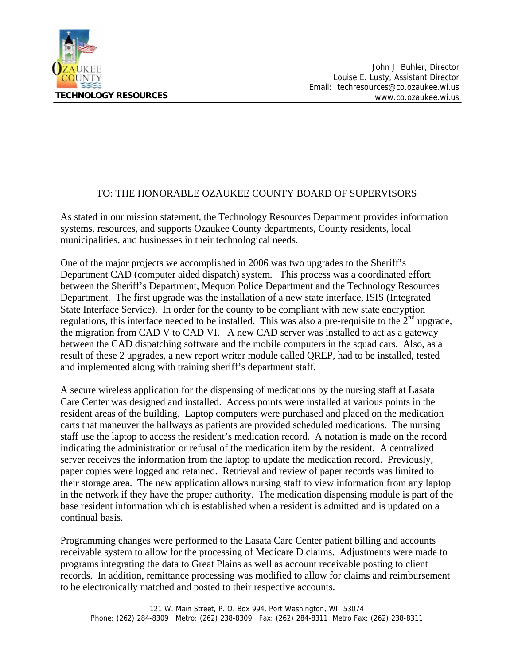

#### TO: THE HONORABLE OZAUKEE COUNTY BOARD OF SUPERVISORS

As stated in our mission statement, the Technology Resources Department provides information systems, resources, and supports Ozaukee County departments, County residents, local municipalities, and businesses in their technological needs.

One of the major projects we accomplished in 2006 was two upgrades to the Sheriff's Department CAD (computer aided dispatch) system. This process was a coordinated effort between the Sheriff's Department, Mequon Police Department and the Technology Resources Department. The first upgrade was the installation of a new state interface, ISIS (Integrated State Interface Service). In order for the county to be compliant with new state encryption regulations, this interface needed to be installed. This was also a pre-requisite to the  $2<sup>nd</sup>$  upgrade, the migration from CAD V to CAD VI. A new CAD server was installed to act as a gateway between the CAD dispatching software and the mobile computers in the squad cars. Also, as a result of these 2 upgrades, a new report writer module called QREP, had to be installed, tested and implemented along with training sheriff's department staff.

A secure wireless application for the dispensing of medications by the nursing staff at Lasata Care Center was designed and installed. Access points were installed at various points in the resident areas of the building. Laptop computers were purchased and placed on the medication carts that maneuver the hallways as patients are provided scheduled medications. The nursing staff use the laptop to access the resident's medication record. A notation is made on the record indicating the administration or refusal of the medication item by the resident. A centralized server receives the information from the laptop to update the medication record. Previously, paper copies were logged and retained. Retrieval and review of paper records was limited to their storage area. The new application allows nursing staff to view information from any laptop in the network if they have the proper authority. The medication dispensing module is part of the base resident information which is established when a resident is admitted and is updated on a continual basis.

Programming changes were performed to the Lasata Care Center patient billing and accounts receivable system to allow for the processing of Medicare D claims. Adjustments were made to programs integrating the data to Great Plains as well as account receivable posting to client records. In addition, remittance processing was modified to allow for claims and reimbursement to be electronically matched and posted to their respective accounts.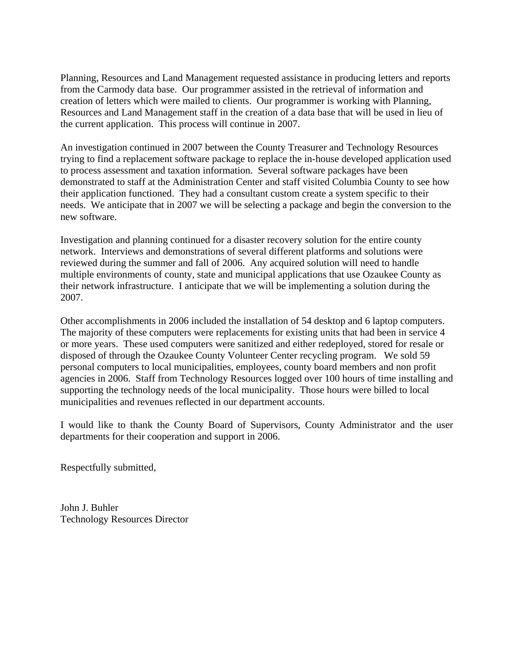Planning, Resources and Land Management requested assistance in producing letters and reports from the Carmody data base. Our programmer assisted in the retrieval of information and creation of letters which were mailed to clients. Our programmer is working with Planning, Resources and Land Management staff in the creation of a data base that will be used in lieu of the current application. This process will continue in 2007.

An investigation continued in 2007 between the County Treasurer and Technology Resources trying to find a replacement software package to replace the in-house developed application used to process assessment and taxation information. Several software packages have been demonstrated to staff at the Administration Center and staff visited Columbia County to see how their application functioned. They had a consultant custom create a system specific to their needs. We anticipate that in 2007 we will be selecting a package and begin the conversion to the new software.

Investigation and planning continued for a disaster recovery solution for the entire county network. Interviews and demonstrations of several different platforms and solutions were reviewed during the summer and fall of 2006. Any acquired solution will need to handle multiple environments of county, state and municipal applications that use Ozaukee County as their network infrastructure. I anticipate that we will be implementing a solution during the 2007.

Other accomplishments in 2006 included the installation of 54 desktop and 6 laptop computers. The majority of these computers were replacements for existing units that had been in service 4 or more years. These used computers were sanitized and either redeployed, stored for resale or disposed of through the Ozaukee County Volunteer Center recycling program. We sold 59 personal computers to local municipalities, employees, county board members and non profit agencies in 2006. Staff from Technology Resources logged over 100 hours of time installing and supporting the technology needs of the local municipality. Those hours were billed to local municipalities and revenues reflected in our department accounts.

I would like to thank the County Board of Supervisors, County Administrator and the user departments for their cooperation and support in 2006.

Respectfully submitted,

John J. Buhler Technology Resources Director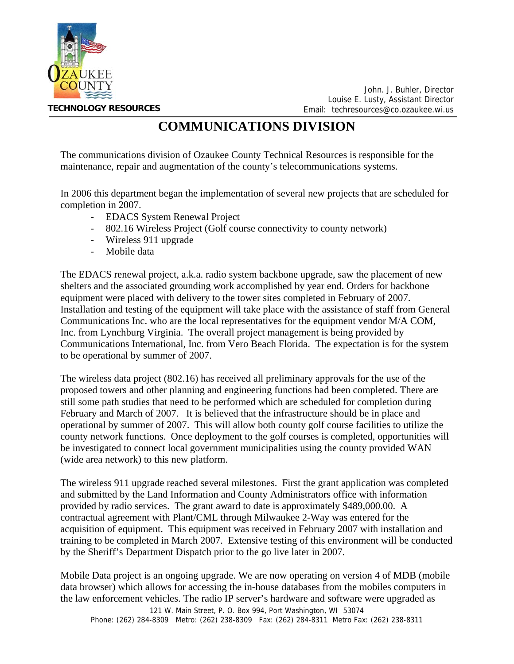

John. J. Buhler, Director Louise E. Lusty, Assistant Director Email: techresources@co.ozaukee.wi.us

#### **COMMUNICATIONS DIVISION**

The communications division of Ozaukee County Technical Resources is responsible for the maintenance, repair and augmentation of the county's telecommunications systems.

In 2006 this department began the implementation of several new projects that are scheduled for completion in 2007.

- EDACS System Renewal Project
	- 802.16 Wireless Project (Golf course connectivity to county network)
	- Wireless 911 upgrade
	- Mobile data

The EDACS renewal project, a.k.a. radio system backbone upgrade, saw the placement of new shelters and the associated grounding work accomplished by year end. Orders for backbone equipment were placed with delivery to the tower sites completed in February of 2007. Installation and testing of the equipment will take place with the assistance of staff from General Communications Inc. who are the local representatives for the equipment vendor M/A COM, Inc. from Lynchburg Virginia. The overall project management is being provided by Communications International, Inc. from Vero Beach Florida. The expectation is for the system to be operational by summer of 2007.

The wireless data project (802.16) has received all preliminary approvals for the use of the proposed towers and other planning and engineering functions had been completed. There are still some path studies that need to be performed which are scheduled for completion during February and March of 2007. It is believed that the infrastructure should be in place and operational by summer of 2007. This will allow both county golf course facilities to utilize the county network functions. Once deployment to the golf courses is completed, opportunities will be investigated to connect local government municipalities using the county provided WAN (wide area network) to this new platform.

The wireless 911 upgrade reached several milestones. First the grant application was completed and submitted by the Land Information and County Administrators office with information provided by radio services. The grant award to date is approximately \$489,000.00. A contractual agreement with Plant/CML through Milwaukee 2-Way was entered for the acquisition of equipment. This equipment was received in February 2007 with installation and training to be completed in March 2007. Extensive testing of this environment will be conducted by the Sheriff's Department Dispatch prior to the go live later in 2007.

Mobile Data project is an ongoing upgrade. We are now operating on version 4 of MDB (mobile data browser) which allows for accessing the in-house databases from the mobiles computers in the law enforcement vehicles. The radio IP server's hardware and software were upgraded as

121 W. Main Street, P. O. Box 994, Port Washington, WI 53074 Phone: (262) 284-8309 Metro: (262) 238-8309 Fax: (262) 284-8311 Metro Fax: (262) 238-8311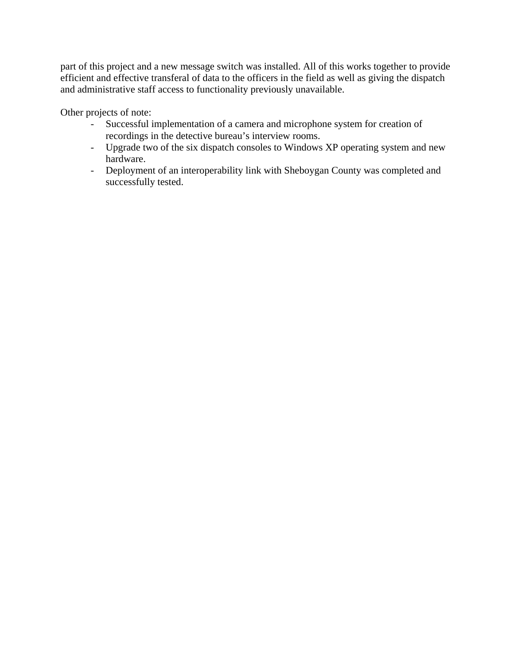part of this project and a new message switch was installed. All of this works together to provide efficient and effective transferal of data to the officers in the field as well as giving the dispatch and administrative staff access to functionality previously unavailable.

Other projects of note:

- Successful implementation of a camera and microphone system for creation of recordings in the detective bureau's interview rooms.
- Upgrade two of the six dispatch consoles to Windows XP operating system and new hardware.
- Deployment of an interoperability link with Sheboygan County was completed and successfully tested.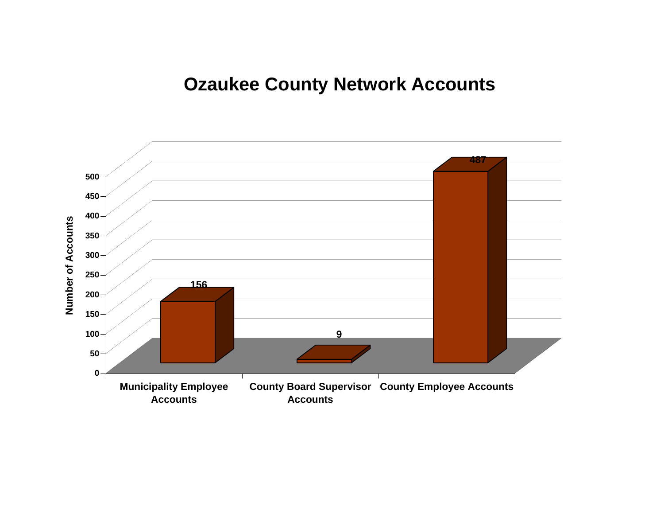### **Ozaukee County Network Accounts**

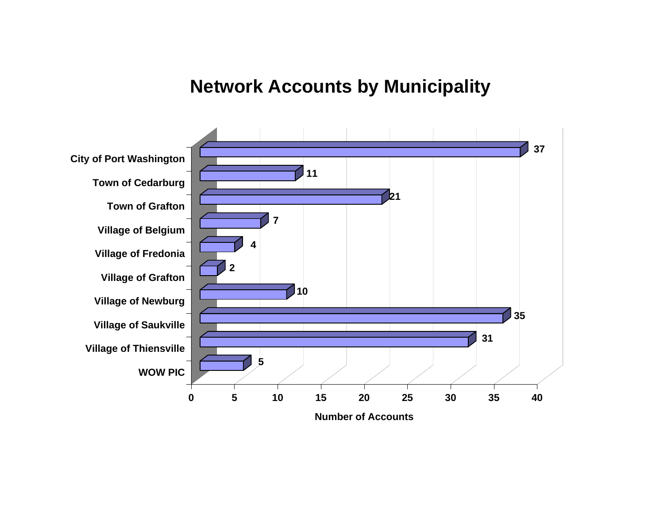### **Network Accounts by Municipality**

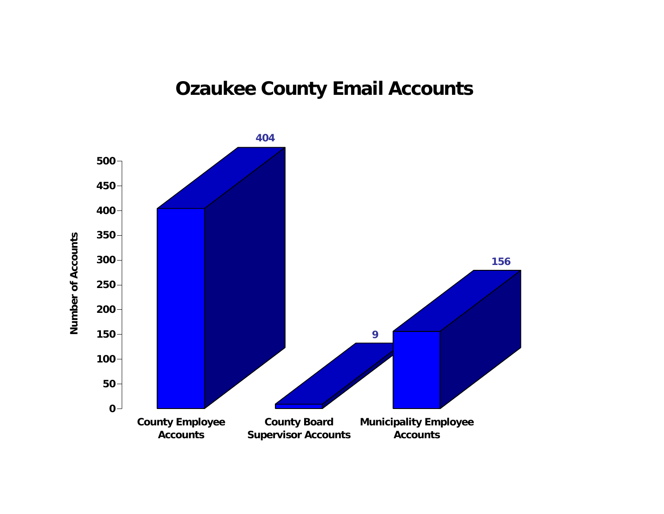## **Ozaukee County Email Accounts**

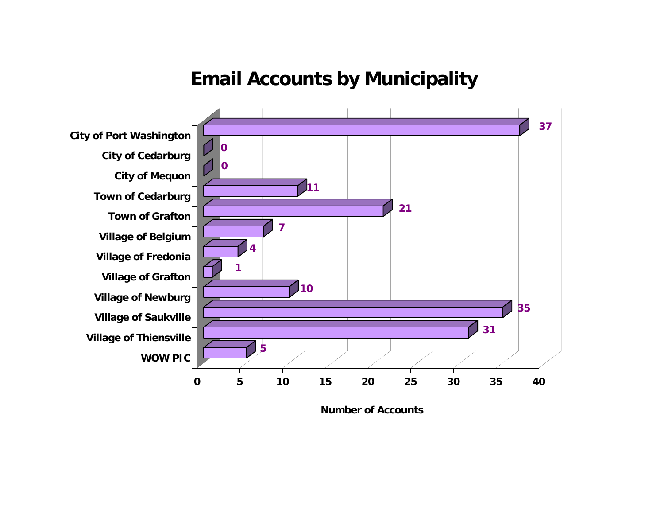#### **Email Accounts by Municipality**



**Number of Accounts**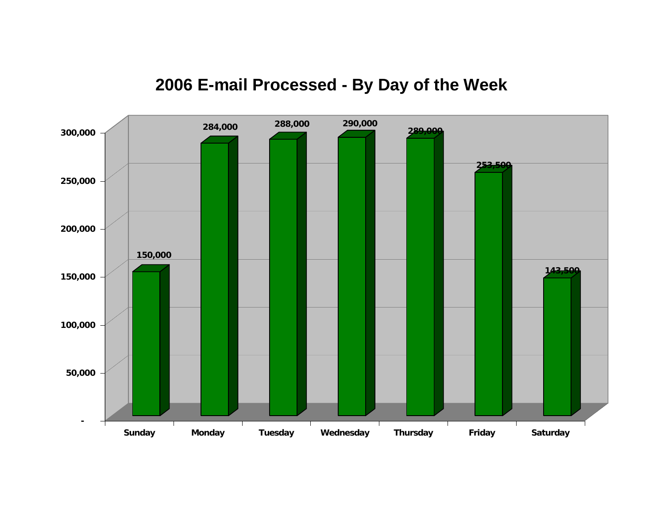

# **2006 E-mail Processed - By Day of the Week**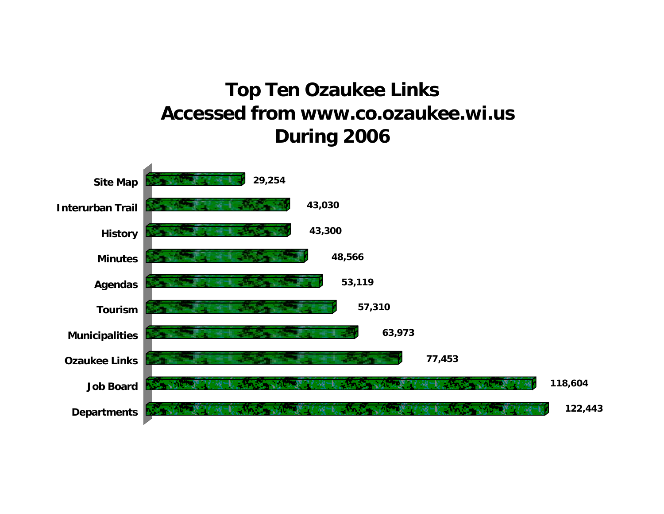# **Top Ten Ozaukee Links Accessed from www.co.ozaukee.wi.us During 2006**